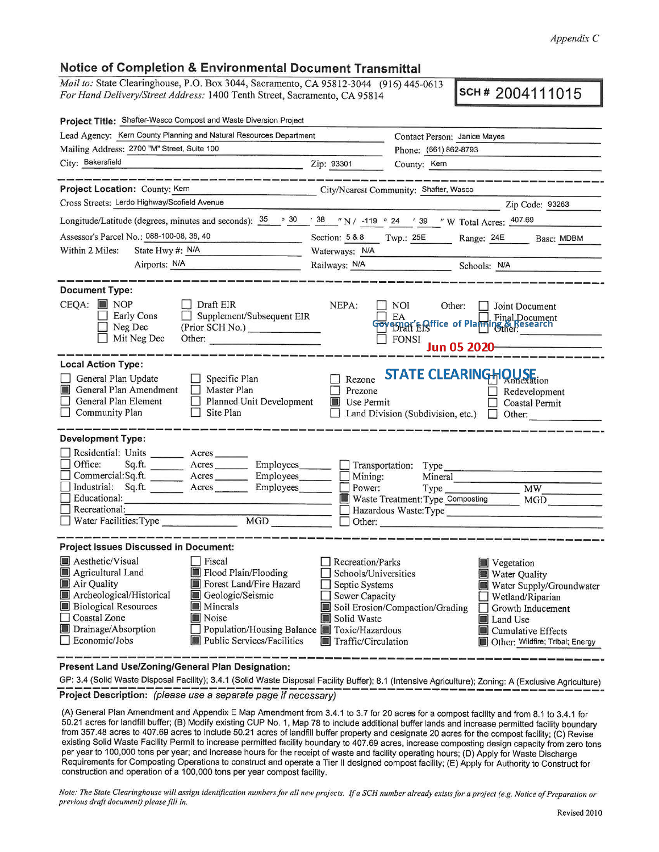## *Appendix* C

## **Notice of Completion & Environmental Document Transmittal**

*Mail to:* State Clearinghouse, P.O. Box 3044, Sacramento, CA 95812-3044 (916) 445-0613 *For Hand Delivery/Street Address:* 1400 Tenth Street, Sacramento, CA 95814

**SCH# 2004111015** 

| Project Title: Shafter-Wasco Compost and Waste Diversion Project                                                                                                                                                                                                                                                                                                        |                                                                                                                           |                                                                                                                                                                                                                               |  |  |  |
|-------------------------------------------------------------------------------------------------------------------------------------------------------------------------------------------------------------------------------------------------------------------------------------------------------------------------------------------------------------------------|---------------------------------------------------------------------------------------------------------------------------|-------------------------------------------------------------------------------------------------------------------------------------------------------------------------------------------------------------------------------|--|--|--|
| Lead Agency: Kern County Planning and Natural Resources Department                                                                                                                                                                                                                                                                                                      | Contact Person: Janice Mayes                                                                                              |                                                                                                                                                                                                                               |  |  |  |
| Mailing Address: 2700 "M" Street, Suite 100                                                                                                                                                                                                                                                                                                                             |                                                                                                                           | Phone: (661) 862-8793                                                                                                                                                                                                         |  |  |  |
| City: Bakersfield<br><u> La Carlo Carlo Carlo Carlo Carlo Carlo Carlo Carlo Carlo Carlo Carlo Carlo Carlo Carlo Carlo Carlo Carlo Car</u>                                                                                                                                                                                                                               | Zip: 93301                                                                                                                | County: Kern                                                                                                                                                                                                                  |  |  |  |
| ______________________                                                                                                                                                                                                                                                                                                                                                  |                                                                                                                           |                                                                                                                                                                                                                               |  |  |  |
| Project Location: County: Kem<br>City/Nearest Community: Shafter, Wasco                                                                                                                                                                                                                                                                                                 |                                                                                                                           |                                                                                                                                                                                                                               |  |  |  |
| Cross Streets: Lerdo Highway/Scofield Avenue                                                                                                                                                                                                                                                                                                                            |                                                                                                                           | Zip Code: 93263                                                                                                                                                                                                               |  |  |  |
| Longitude/Latitude (degrees, minutes and seconds): $\frac{35}{25}$ $\frac{30}{25}$ $\frac{38}{25}$ $\frac{7}{25}$ N / -119 $\circ$ 24 $\degree$ 39 $\degree$ W Total Acres: $\frac{407.69}{25}$                                                                                                                                                                         |                                                                                                                           |                                                                                                                                                                                                                               |  |  |  |
| Assessor's Parcel No.: 088-100-08, 38, 40                                                                                                                                                                                                                                                                                                                               | Section: $5 & 80$<br>Twp.: 25E Range: 24E Base: MDBM                                                                      |                                                                                                                                                                                                                               |  |  |  |
| Within 2 Miles:<br>State Hwy #: N/A                                                                                                                                                                                                                                                                                                                                     | Waterways: N/A                                                                                                            |                                                                                                                                                                                                                               |  |  |  |
| Airports: N/A                                                                                                                                                                                                                                                                                                                                                           |                                                                                                                           | Railways: N/A Schools: N/A                                                                                                                                                                                                    |  |  |  |
| <b>Document Type:</b><br>$CEQA:$ MOP<br>Draft EIR<br>Supplement/Subsequent EIR<br>Early Cons<br>Neg Dec<br>(Prior SCH No.)<br>Mit Neg Dec<br>Other:                                                                                                                                                                                                                     | NEPA:                                                                                                                     | NOI<br>Other:<br>Joint Document<br>EA EA Final Document<br>$\Box$ FONSI<br>Jun 05 2020                                                                                                                                        |  |  |  |
| <b>Local Action Type:</b>                                                                                                                                                                                                                                                                                                                                               |                                                                                                                           |                                                                                                                                                                                                                               |  |  |  |
| General Plan Update<br>$\Box$ Specific Plan<br>General Plan Amendment<br>$\Box$ Master Plan<br>General Plan Element<br>$\Box$ Planned Unit Development<br>$\Box$ Site Plan<br>Community Plan                                                                                                                                                                            | Rezone<br>Prezone<br><b>Use Permit</b>                                                                                    | <b>STATE CLEARINGHOUSE</b><br>Redevelopment<br>$\Box$ Coastal Permit<br>Land Division (Subdivision, etc.) $\Box$ Other:                                                                                                       |  |  |  |
| <b>Development Type:</b>                                                                                                                                                                                                                                                                                                                                                |                                                                                                                           |                                                                                                                                                                                                                               |  |  |  |
| Residential: Units _________ Acres___<br>Office:<br>Sq.ft. _________ Acres __________ Employees________ __ Transportation: Type _______________________<br>Commercial:Sq.ft. ________ Acres _________ Employees _______<br>Industrial: Sq.ft. <u>Acres</u> Acres Employees<br>Educational:<br>Recreational:                                                             | Mining:<br>Power:                                                                                                         | Mineral<br>Waste Treatment: Type Composting<br>MGD<br>Hazardous Waste: Type<br>$\Box$ Other:                                                                                                                                  |  |  |  |
| <b>Project Issues Discussed in Document:</b>                                                                                                                                                                                                                                                                                                                            |                                                                                                                           |                                                                                                                                                                                                                               |  |  |  |
| Aesthetic/Visual<br>Fiscal<br>Agricultural Land<br>Flood Plain/Flooding<br>Forest Land/Fire Hazard<br>Air Quality<br>Archeological/Historical<br>Geologic/Seismic<br><b>Biological Resources</b><br><b>Minerals</b><br>Coastal Zone<br>Noise<br>Drainage/Absorption<br>Population/Housing Balance Toxic/Hazardous<br>Economic/Jobs<br><b>Public Services/Facilities</b> | Recreation/Parks<br>Schools/Universities<br>Septic Systems<br>$\Box$ Sewer Capacity<br>Solid Waste<br>Traffic/Circulation | Vegetation<br>Water Quality<br>Water Supply/Groundwater<br>$\Box$ Wetland/Riparian<br>Soil Erosion/Compaction/Grading<br>$\Box$ Growth Inducement<br>Land Use<br><b>Cumulative Effects</b><br>Other: Wildfire; Tribal; Energy |  |  |  |

**Present Land Use/Zoning/General Plan Designation:** 

GP: 3.4 (Solid Waste Disposal Facility); 3.4.1 (Solid Waste Disposal Facility Buffer); 8.1 (Intensive Agriculture); Zoning: A (Exclusive Agriculture) **Project Description:** (please use a separate page if necessary)

(A) General Plan Amendment and Appendix **E** Map Amendment from 3.4.1 to 3. 7 for 20 acres for a compost facility and from 8.1 to 3.4.1 for 50.21 acres for landfill buffer; **(B)** Modify existing CUP No. 1, Map 78 to include additional buffer lands and increase permitted facility boundary from 357.48 acres to 407.69 acres to include 50.21 acres of landfill buffer property and designate 20 acres for the compost facility; (C) Revise existing Solid Waste Facility Permit to increase permitted facility boundary to 407.69 acres, increase composting design capacity from zero tons per year to 100,000 tons per year; and increase hours for the receipt of waste and facility operating hours; (D) Apply for Waste Discharge Requirements for Composting Operations to construct and operate a Tier II designed compost facility; **(E)** Apply for Authority to Construct for construction and operation of a 100,000 tons per year compost facility.

*Note: The State Clearinghouse will assign identification numbers for all new projects. If a SCH number already exists for a project (e.g. Notice of Preparation or previous draft document) please fill in.*